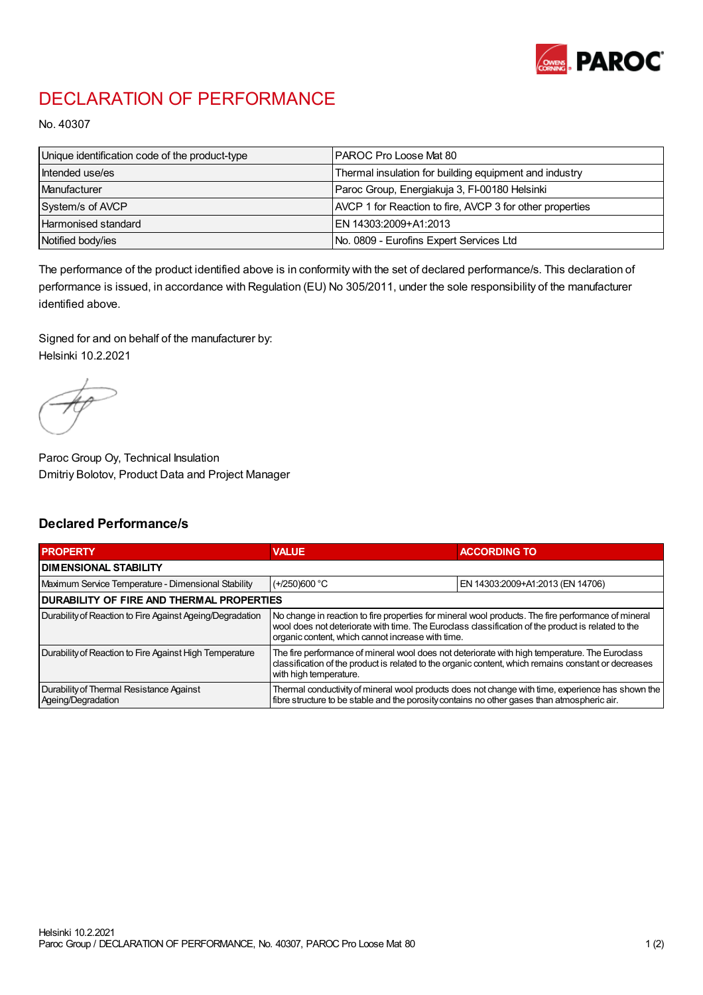

## DECLARATION OF PERFORMANCE

No. 40307

| Unique identification code of the product-type | <b>IPAROC Pro Loose Mat 80</b>                           |
|------------------------------------------------|----------------------------------------------------------|
| Intended use/es                                | Thermal insulation for building equipment and industry   |
| Manufacturer                                   | Paroc Group, Energiakuja 3, FI-00180 Helsinki            |
| System/s of AVCP                               | AVCP 1 for Reaction to fire, AVCP 3 for other properties |
| Harmonised standard                            | IEN 14303:2009+A1:2013                                   |
| Notified body/ies                              | No. 0809 - Eurofins Expert Services Ltd                  |

The performance of the product identified above is in conformity with the set of declared performance/s. This declaration of performance is issued, in accordance with Regulation (EU) No 305/2011, under the sole responsibility of the manufacturer identified above.

Signed for and on behalf of the manufacturer by: Helsinki 10.2.2021

Paroc Group Oy, Technical Insulation Dmitriy Bolotov, Product Data and Project Manager

## Declared Performance/s

| <b>PROPERTY</b>                                                | <b>VALUE</b>                                                                                                                                                                                                                                                   | <b>ACCORDING TO</b>              |  |  |
|----------------------------------------------------------------|----------------------------------------------------------------------------------------------------------------------------------------------------------------------------------------------------------------------------------------------------------------|----------------------------------|--|--|
| <b>DIMENSIONAL STABILITY</b>                                   |                                                                                                                                                                                                                                                                |                                  |  |  |
| Maximum Service Temperature - Dimensional Stability            | $(+/250)600$ °C                                                                                                                                                                                                                                                | EN 14303:2009+A1:2013 (EN 14706) |  |  |
| <b>DURABILITY OF FIRE AND THERMAL PROPERTIES</b>               |                                                                                                                                                                                                                                                                |                                  |  |  |
| Durability of Reaction to Fire Against Ageing/Degradation      | No change in reaction to fire properties for mineral wool products. The fire performance of mineral<br>wool does not deteriorate with time. The Euroclass classification of the product is related to the<br>organic content, which cannot increase with time. |                                  |  |  |
| Durability of Reaction to Fire Against High Temperature        | The fire performance of mineral wool does not deteriorate with high temperature. The Euroclass<br>classification of the product is related to the organic content, which remains constant or decreases<br>with high temperature.                               |                                  |  |  |
| Durability of Thermal Resistance Against<br>Ageing/Degradation | Thermal conductivity of mineral wool products does not change with time, experience has shown the<br>fibre structure to be stable and the porosity contains no other gases than atmospheric air.                                                               |                                  |  |  |